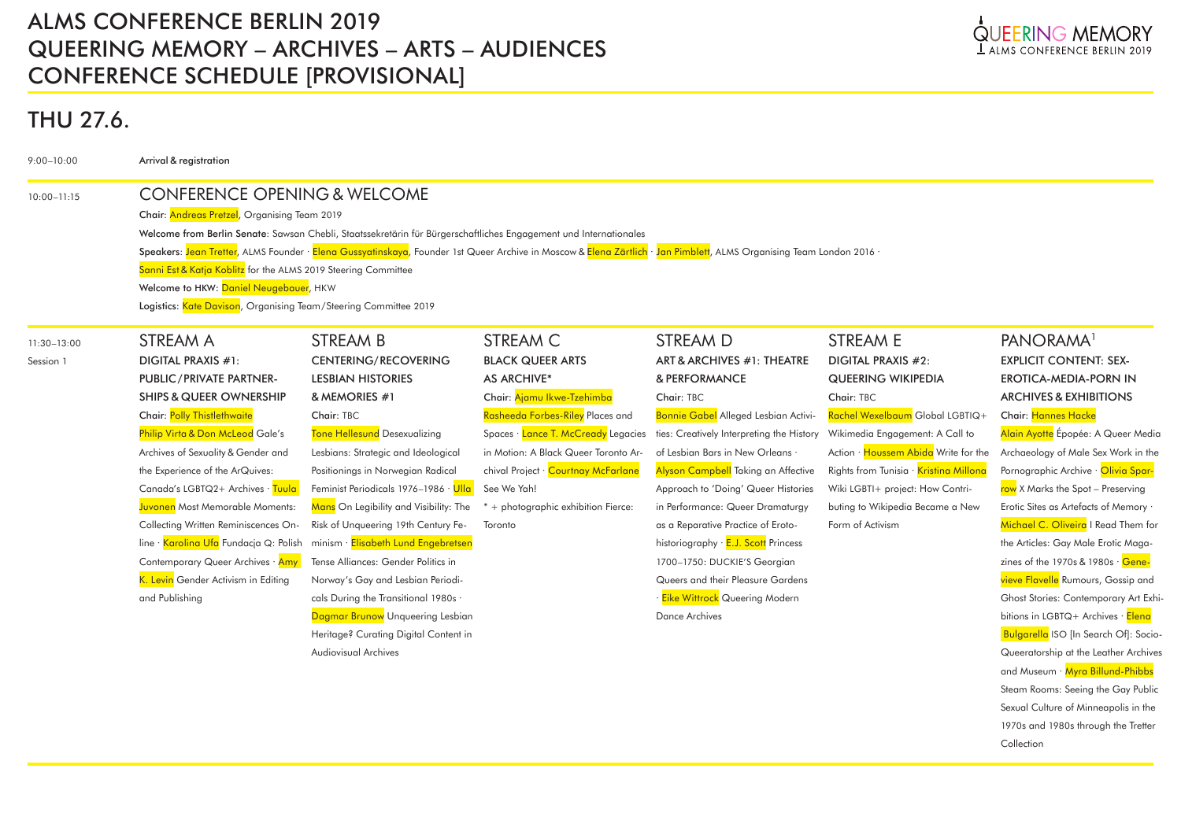# ALMS CONFERENCE BERLIN 2019 QUEERING MEMORY – ARCHIVES – ARTS – AUDIENCES CONFERENCE SCHEDULE [PROVISIONAL]



1970s and 1980s through the Tretter

Collection

# THU 27.6.

| $9:00 - 10:00$  | Arrival & registration                                                                                                                                                             |                                        |                                      |                                             |                                        |                                                 |  |  |  |
|-----------------|------------------------------------------------------------------------------------------------------------------------------------------------------------------------------------|----------------------------------------|--------------------------------------|---------------------------------------------|----------------------------------------|-------------------------------------------------|--|--|--|
| $10:00 - 11:15$ | <b>CONFERENCE OPENING &amp; WELCOME</b>                                                                                                                                            |                                        |                                      |                                             |                                        |                                                 |  |  |  |
|                 | Chair: Andreas Pretzel, Organising Team 2019                                                                                                                                       |                                        |                                      |                                             |                                        |                                                 |  |  |  |
|                 | Welcome from Berlin Senate: Sawsan Chebli, Staatssekretärin für Bürgerschaftliches Engagement und Internationales                                                                  |                                        |                                      |                                             |                                        |                                                 |  |  |  |
|                 | Speakers: <mark>Jean Tretter</mark> , ALMS Founder · Elena Gussyatinskaya, Founder 1st Queer Archive in Moscow & Elena Zärtlich · Jan Pimblett, ALMS Organising Team London 2016 · |                                        |                                      |                                             |                                        |                                                 |  |  |  |
|                 | Sanni Est & Katja Koblitz for the ALMS 2019 Steering Committee                                                                                                                     |                                        |                                      |                                             |                                        |                                                 |  |  |  |
|                 | Welcome to HKW: Daniel Neugebauer, HKW                                                                                                                                             |                                        |                                      |                                             |                                        |                                                 |  |  |  |
|                 | Logistics: Kate Davison, Organising Team/Steering Committee 2019                                                                                                                   |                                        |                                      |                                             |                                        |                                                 |  |  |  |
| 11:30-13:00     | STREAM A                                                                                                                                                                           | <b>STREAM B</b>                        | STREAM C                             | <b>STREAM D</b>                             | <b>STREAM E</b>                        | PANORAMA <sup>1</sup>                           |  |  |  |
| Session 1       | <b>DIGITAL PRAXIS #1:</b>                                                                                                                                                          | <b>CENTERING/RECOVERING</b>            | <b>BLACK QUEER ARTS</b>              | ART & ARCHIVES #1: THEATRE                  | <b>DIGITAL PRAXIS #2:</b>              | <b>EXPLICIT CONTENT: SEX-</b>                   |  |  |  |
|                 | PUBLIC/PRIVATE PARTNER-                                                                                                                                                            | <b>LESBIAN HISTORIES</b>               | <b>AS ARCHIVE*</b>                   | & PERFORMANCE                               | <b>QUEERING WIKIPEDIA</b>              | <b>EROTICA-MEDIA-PORN IN</b>                    |  |  |  |
|                 | <b>SHIPS &amp; QUEER OWNERSHIP</b>                                                                                                                                                 | & MEMORIES #1                          | Chair: Ajamu Ikwe-Tzehimba           | Chair: TBC                                  | Chair: TBC                             | <b>ARCHIVES &amp; EXHIBITIONS</b>               |  |  |  |
|                 | Chair: Polly Thistlethwaite                                                                                                                                                        | Chair: TBC                             | Rasheeda Forbes-Riley Places and     | Bonnie Gabel Alleged Lesbian Activi-        | Rachel Wexelbaum Global LGBTIQ+        | Chair: Hannes Hacke                             |  |  |  |
|                 | Philip Virta & Don McLeod Gale's                                                                                                                                                   | Tone Hellesund Desexualizing           | Spaces · Lance T. McCready Legacies  | ties: Creatively Interpreting the History   | Wikimedia Engagement: A Call to        | Alain Ayotte Épopée: A Queer Media              |  |  |  |
|                 | Archives of Sexuality & Gender and                                                                                                                                                 | Lesbians: Strategic and Ideological    | in Motion: A Black Queer Toronto Ar- | of Lesbian Bars in New Orleans .            | Action · Houssem Abida Write for the   | Archaeology of Male Sex Work in the             |  |  |  |
|                 | the Experience of the ArQuives:                                                                                                                                                    | Positionings in Norwegian Radical      | chival Project · Courtnay McFarlane  | <b>Alyson Campbell Taking an Affective</b>  | Rights from Tunisia · Kristina Millona | Pornographic Archive · Olivia Spar-             |  |  |  |
|                 | Canada's LGBTQ2+ Archives · Tuula                                                                                                                                                  | Feminist Periodicals 1976-1986 · Ulla  | See We Yah!                          | Approach to 'Doing' Queer Histories         | Wiki LGBTI+ project: How Contri-       | row X Marks the Spot - Preserving               |  |  |  |
|                 | Juvonen Most Memorable Moments:                                                                                                                                                    | Mans On Legibility and Visibility: The | + photographic exhibition Fierce:    | in Performance: Queer Dramaturgy            | buting to Wikipedia Became a New       | Erotic Sites as Artefacts of Memory .           |  |  |  |
|                 | Collecting Written Reminiscences On-                                                                                                                                               | Risk of Unqueering 19th Century Fe-    | Toronto                              | as a Reparative Practice of Eroto-          | Form of Activism                       | Michael C. Oliveira I Read Them for             |  |  |  |
|                 | line · Karolina Ufa Fundacja Q: Polish                                                                                                                                             | minism · Elisabeth Lund Engebretsen    |                                      | historiography · <b>E.J. Scott</b> Princess |                                        | the Articles: Gay Male Erotic Maga-             |  |  |  |
|                 | Contemporary Queer Archives · Amy                                                                                                                                                  | Tense Alliances: Gender Politics in    |                                      | 1700-1750: DUCKIE'S Georgian                |                                        | zines of the 1970s & 1980s $\cdot$ Gene-        |  |  |  |
|                 | K. Levin Gender Activism in Editing                                                                                                                                                | Norway's Gay and Lesbian Periodi-      |                                      | Queers and their Pleasure Gardens           |                                        | <mark>vieve Flavelle</mark> Rumours, Gossip and |  |  |  |
|                 | and Publishing                                                                                                                                                                     | cals During the Transitional 1980s ·   |                                      | · Eike Wittrock Queering Modern             |                                        | Ghost Stories: Contemporary Art Exhi-           |  |  |  |
|                 |                                                                                                                                                                                    | Dagmar Brunow Unqueering Lesbian       |                                      | Dance Archives                              |                                        | bitions in LGBTQ+ Archives · Elena              |  |  |  |
|                 |                                                                                                                                                                                    | Heritage? Curating Digital Content in  |                                      |                                             |                                        | Bulgarella ISO [In Search Of]: Socio-           |  |  |  |
|                 |                                                                                                                                                                                    | <b>Audiovisual Archives</b>            |                                      |                                             |                                        | Queeratorship at the Leather Archives           |  |  |  |
|                 |                                                                                                                                                                                    |                                        |                                      |                                             |                                        | and Museum · Myra Billund-Phibbs                |  |  |  |
|                 |                                                                                                                                                                                    |                                        |                                      |                                             |                                        | Steam Rooms: Seeing the Gay Public              |  |  |  |
|                 |                                                                                                                                                                                    |                                        |                                      |                                             |                                        | Sexual Culture of Minneapolis in the            |  |  |  |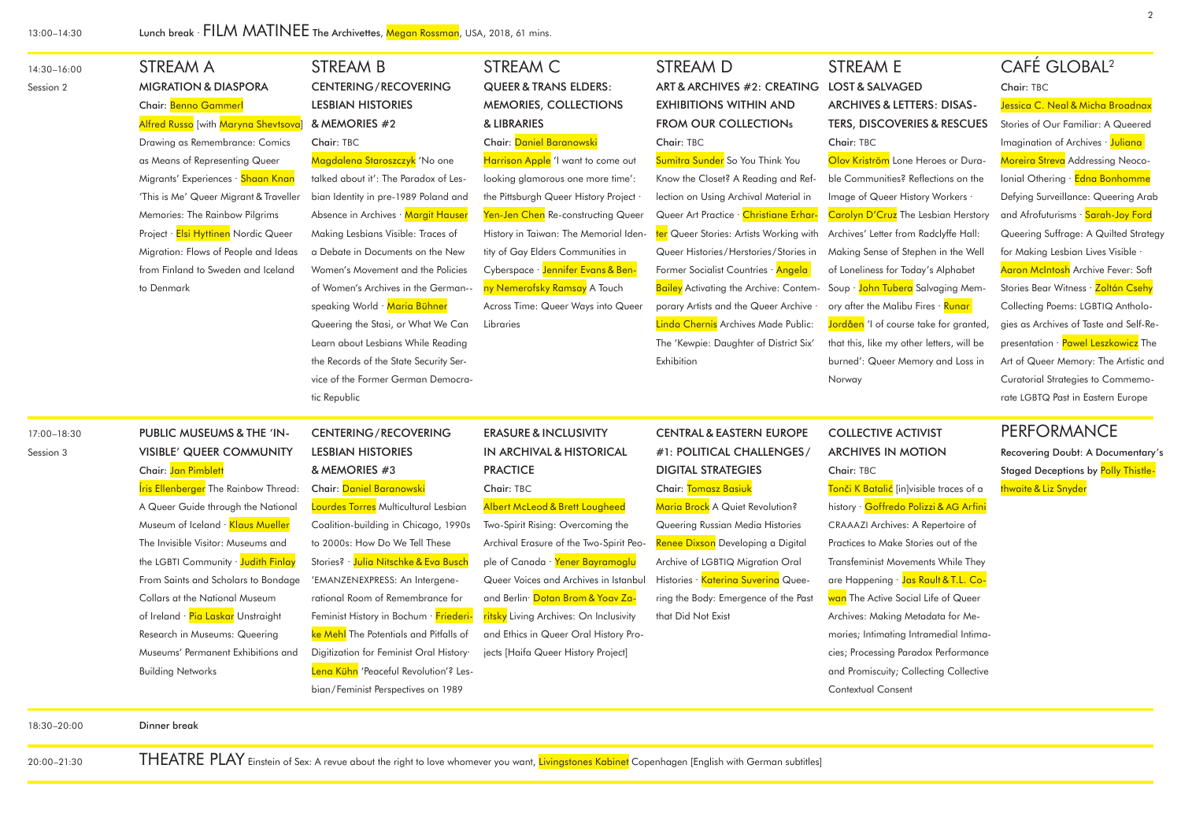| 14:30-16:00<br>Session 2 | STREAM A<br><b>MIGRATION &amp; DIASPORA</b><br>Chair: Benno Gammer<br>Alfred Russo [with Maryna Shevtsova]                                                                                                                                                                                                                                                                                                                                                                                            | <b>STREAM B</b><br><b>CENTERING/RECOVERING</b><br><b>LESBIAN HISTORIES</b><br>& MEMORIES #2                                                                                                                                                                                                                                                                                                                                                                                                                                                         | STREAM C<br><b>QUEER &amp; TRANS ELDERS:</b><br>MEMORIES, COLLECTIONS<br>& LIBRARIES                                                                                                                                                                                                                                                                                                                                                                                                          | <b>STREAM D</b><br>ART & ARCHIVES #2: CREATING<br><b>EXHIBITIONS WITHIN AND</b><br><b>FROM OUR COLLECTIONs</b>                                                                                                                                                                                                                                                                                                                                                                               | <b>STREAM E</b><br><b>LOST &amp; SALVAGED</b><br><b>ARCHIVES &amp; LETTERS: DISAS-</b><br><b>TERS, DISCOVERIES &amp; RESCUES</b>                                                                                                                                                                                                                                                                                                                                                                                                                                 | CAFÉ GLOBAL <sup>2</sup><br>Chair: TBC<br>Jessica C. Neal & Micha Broadnax<br>Stories of Our Familiar: A Queered                                                                                                                                                                                                                                                                                                                                                                                                                                                                         |
|--------------------------|-------------------------------------------------------------------------------------------------------------------------------------------------------------------------------------------------------------------------------------------------------------------------------------------------------------------------------------------------------------------------------------------------------------------------------------------------------------------------------------------------------|-----------------------------------------------------------------------------------------------------------------------------------------------------------------------------------------------------------------------------------------------------------------------------------------------------------------------------------------------------------------------------------------------------------------------------------------------------------------------------------------------------------------------------------------------------|-----------------------------------------------------------------------------------------------------------------------------------------------------------------------------------------------------------------------------------------------------------------------------------------------------------------------------------------------------------------------------------------------------------------------------------------------------------------------------------------------|----------------------------------------------------------------------------------------------------------------------------------------------------------------------------------------------------------------------------------------------------------------------------------------------------------------------------------------------------------------------------------------------------------------------------------------------------------------------------------------------|------------------------------------------------------------------------------------------------------------------------------------------------------------------------------------------------------------------------------------------------------------------------------------------------------------------------------------------------------------------------------------------------------------------------------------------------------------------------------------------------------------------------------------------------------------------|------------------------------------------------------------------------------------------------------------------------------------------------------------------------------------------------------------------------------------------------------------------------------------------------------------------------------------------------------------------------------------------------------------------------------------------------------------------------------------------------------------------------------------------------------------------------------------------|
|                          | Drawing as Remembrance: Comics<br>as Means of Representing Queer<br>Migrants' Experiences · Shaan Knan<br>'This is Me' Queer Migrant & Traveller<br>Memories: The Rainbow Pilgrims<br>Project · Elsi Hyttinen Nordic Queer<br>Migration: Flows of People and Ideas<br>from Finland to Sweden and Iceland<br>to Denmark                                                                                                                                                                                | Chair: TBC<br>Magdalena Staroszczyk <sup>1</sup> No one<br>talked about it': The Paradox of Les-<br>bian Identity in pre-1989 Poland and<br>Absence in Archives · Margit Hauser<br>Making Lesbians Visible: Traces of<br>a Debate in Documents on the New<br>Women's Movement and the Policies<br>of Women's Archives in the German--<br>speaking World · Maria Bühner<br>Queering the Stasi, or What We Can<br>Learn about Lesbians While Reading<br>the Records of the State Security Ser-<br>vice of the Former German Democra-<br>tic Republic  | Chair: Daniel Baranowski<br>Harrison Apple 'I want to come out<br>looking glamorous one more time':<br>the Pittsburgh Queer History Project<br>Yen-Jen Chen Re-constructing Queer<br>History in Taiwan: The Memorial Iden-<br>tity of Gay Elders Communities in<br>Cyberspace · Jennifer Evans & Ben-<br>ny Nemerofsky Ramsay A Touch<br>Across Time: Queer Ways into Queer<br>Libraries                                                                                                      | Chair: TBC<br>Sumitra Sunder So You Think You<br>Know the Closet? A Reading and Ref-<br>lection on Using Archival Material in<br>Queer Art Practice · Christiane Erhar-<br>ter Queer Stories: Artists Working with<br>Queer Histories/Herstories/Stories in<br>Former Socialist Countries · Angela<br><b>Bailey</b> Activating the Archive: Contem-<br>porary Artists and the Queer Archive .<br>Linda Chernis Archives Made Public:<br>The 'Kewpie: Daughter of District Six'<br>Exhibition | Chair: TBC<br>Olov Kriström Lone Heroes or Dura-<br>ble Communities? Reflections on the<br>Image of Queer History Workers .<br>Carolyn D'Cruz The Lesbian Herstory<br>Archives' Letter from Radclyffe Hall:<br>Making Sense of Stephen in the Well<br>of Loneliness for Today's Alphabet<br>Soup · John Tubera Salvaging Mem-<br>ory after the Malibu Fires · Runar<br>Jordåen 'I of course take for granted,<br>that this, like my other letters, will be<br>burned': Queer Memory and Loss in<br>Norway                                                        | Imagination of Archives · Juliana<br>Moreira Streva Addressing Neoco-<br>Ionial Othering · Edna Bonhomme<br>Defying Surveillance: Queering Arab<br>and Afrofuturisms · Sarah-Joy Ford<br>Queering Suffrage: A Quilted Strategy<br>for Making Lesbian Lives Visible<br>Aaron McIntosh Archive Fever: Soft<br>Stories Bear Witness · Zoltán Csehy<br>Collecting Poems: LGBTIQ Antholo-<br>gies as Archives of Taste and Self-Re-<br>presentation · Pawel Leszkowicz The<br>Art of Queer Memory: The Artistic and<br>Curatorial Strategies to Commemo-<br>rate LGBTQ Past in Eastern Europe |
| 17:00-18:30<br>Session 3 | PUBLIC MUSEUMS & THE 'IN-<br>VISIBLE' QUEER COMMUNITY<br>Chair: Jan Pimblett<br><b>Íris Ellenberger</b> The Rainbow Thread:<br>A Queer Guide through the National<br>Museum of Iceland · Klaus Mueller<br>The Invisible Visitor: Museums and<br>the LGBTI Community · Judith Finlay<br>From Saints and Scholars to Bondage<br>Collars at the National Museum<br>of Ireland · Pia Laskar Unstraight<br>Research in Museums: Queering<br>Museums' Permanent Exhibitions and<br><b>Building Networks</b> | <b>CENTERING/RECOVERING</b><br><b>LESBIAN HISTORIES</b><br>& MEMORIES #3<br>Chair: Daniel Baranowski<br>Lourdes Torres Multicultural Lesbian<br>Coalition-building in Chicago, 1990s<br>to 2000s: How Do We Tell These<br>Stories? · Julia Nitschke & Eva Busch<br>'EMANZENEXPRESS: An Intergene-<br>rational Room of Remembrance for<br>Feminist History in Bochum · Friederi-<br>ke Mehl The Potentials and Pitfalls of<br>Digitization for Feminist Oral History·<br>Lena Kühn 'Peaceful Revolution'? Les-<br>bian/Feminist Perspectives on 1989 | <b>ERASURE &amp; INCLUSIVITY</b><br><b>IN ARCHIVAL &amp; HISTORICAL</b><br><b>PRACTICE</b><br>Chair: TBC<br><b>Albert McLeod &amp; Brett Lougheed</b><br>Two-Spirit Rising: Overcoming the<br>Archival Erasure of the Two-Spirit Peo-<br>ple of Canada · Yener Bayramoglu<br>Queer Voices and Archives in Istanbul<br>and Berlin <sup>,</sup> Dotan Brom & Yoav Za-<br>ritsky Living Archives: On Inclusivity<br>and Ethics in Queer Oral History Pro-<br>jects [Haifa Queer History Project] | <b>CENTRAL &amp; EASTERN EUROPE</b><br>#1: POLITICAL CHALLENGES/<br><b>DIGITAL STRATEGIES</b><br>Chair: Tomasz Basiuk<br>Maria Brock A Quiet Revolution?<br>Queering Russian Media Histories<br>Renee Dixson Developing a Digital<br>Archive of LGBTIQ Migration Oral<br>Histories · Katerina Suverina Quee-<br>ring the Body: Emergence of the Past<br>that Did Not Exist                                                                                                                   | <b>COLLECTIVE ACTIVIST</b><br><b>ARCHIVES IN MOTION</b><br>Chair: TBC<br><mark>Tonči K Batalić</mark> [in]visible traces of a<br>history · Goffredo Polizzi & AG Arfini<br>CRAAAZI Archives: A Repertoire of<br>Practices to Make Stories out of the<br>Transfeminist Movements While They<br>are Happening · Jas Rault & T.L. Co-<br>wan The Active Social Life of Queer<br>Archives: Making Metadata for Me-<br>mories; Intimating Intramedial Intima-<br>cies; Processing Paradox Performance<br>and Promiscuity; Collecting Collective<br>Contextual Consent | <b>PERFORMANCE</b><br>Recovering Doubt: A Documentary's<br><b>Staged Deceptions by Polly Thistle-</b><br>thwaite & Liz Snyder                                                                                                                                                                                                                                                                                                                                                                                                                                                            |
| 18:30-20:00              | Dinner break                                                                                                                                                                                                                                                                                                                                                                                                                                                                                          |                                                                                                                                                                                                                                                                                                                                                                                                                                                                                                                                                     |                                                                                                                                                                                                                                                                                                                                                                                                                                                                                               |                                                                                                                                                                                                                                                                                                                                                                                                                                                                                              |                                                                                                                                                                                                                                                                                                                                                                                                                                                                                                                                                                  |                                                                                                                                                                                                                                                                                                                                                                                                                                                                                                                                                                                          |

20:00–21:30

THEATRE PLAY Einstein of Sex: A revue about the right to love whomever you want, Livingstones Kabinet Copenhagen [English with German subtitles]

2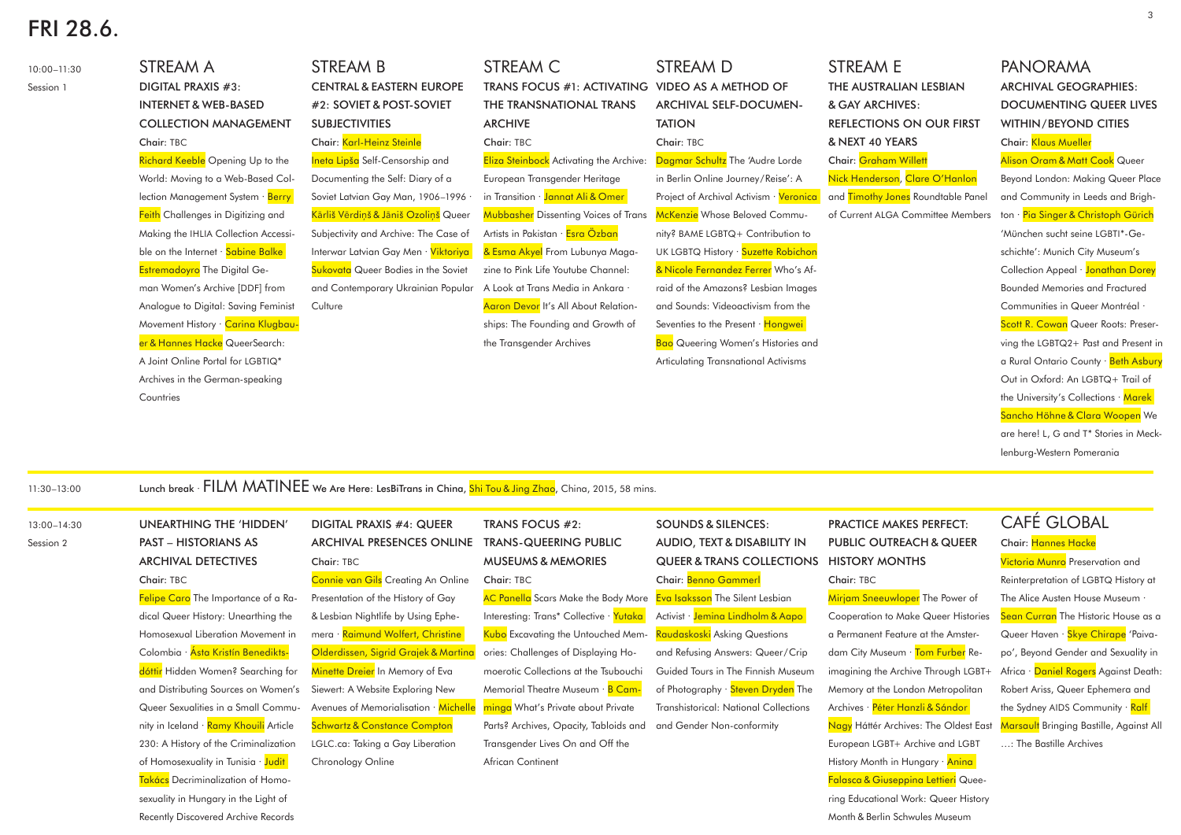# FRI 28.6.

10:00–11:30 Session 1 STREAM A DIGITAL PRAXIS #3: INTERNET & WEB-BASED COLLECTION MANAGEMENT Chair: TBC **Richard Keeble** Opening Up to the World: Moving to a Web-Based Collection Management System · Berry **Feith** Challenges in Digitizing and Making the IHLIA Collection Accessible on the Internet · Sabine Balke Estremadoyro The Digital Geman Women's Archive [DDF] from Analogue to Digital: Saving Feminist Movement History · Carina Klugbauer & Hannes Hacke QueerSearch: A Joint Online Portal for LGBTIQ\* Archives in the German-speaking **Countries** STREAM B CENTRAL & EASTERN EUROPE #2: SOVIET & POST-SOVIET SUBJECTIVITIES Chair: Karl-Heinz Steinle Ineta Lipša Self-Censorship and Documenting the Self: Diary of a Soviet Latvian Gay Man, 1906–1996 · Kārliš Vērdiņš & Jāniš Ozoliņš Queer Subjectivity and Archive: The Case of Interwar Latvian Gay Men · Viktoriya **Sukovata** Queer Bodies in the Soviet and Contemporary Ukrainian Popular **Culture** STREAM C TRANS FOCUS #1: ACTIVATING THE TRANSNATIONAL TRANS ARCHIVE Chair: TBC **Eliza Steinbock** Activating the Archive: European Transgender Heritage in Transition · Jannat Ali & Omer Mubbasher Dissenting Voices of Trans Artists in Pakistan · Esra Özban & Esma Akyel From Lubunya Magazine to Pink Life Youtube Channel: A Look at Trans Media in Ankara · Aaron Devor It's All About Relationships: The Founding and Growth of the Transgender Archives STREAM D VIDEO AS A METHOD OF ARCHIVAL SELF-DOCUMEN-TATION Chair: TBC Dagmar Schultz The 'Audre Lorde in Berlin Online Journey/Reise': A Project of Archival Activism · Veronica **McKenzie** Whose Beloved Community? BAME LGBTQ+ Contribution to UK LGBTQ History · Suzette Robichon & Nicole Fernandez Ferrer Who's Afraid of the Amazons? Lesbian Images and Sounds: Videoactivism from the Seventies to the Present · Hongwei **Bao** Queering Women's Histories and Articulating Transnational Activisms STREAM E THE AUSTRALIAN LESBIAN & GAY ARCHIVES: REFLECTIONS ON OUR FIRST & NEXT 40 YEARS Chair: Graham Willett Nick Henderson, Clare O'Hanlon and **Timothy Jones** Roundtable Panel of Current ALGA Committee Members PANORAMA Chair: Klaus Mueller

### 11:30–13:00 Lunch break · FILM MATINEE we Are Here: LesBiTrans in China, Shi Tou & Jing Zhao, China, 2015, 58 mins.

13:00–14:30

Session 2

PAST – HISTORIANS AS ARCHIVAL DETECTIVES Chair: TBC Felipe Caro The Importance of a Radical Queer History: Unearthing the Homosexual Liberation Movement in Colombia · Ásta Kristín Benediktsdóttir Hidden Women? Searching for and Distributing Sources on Women's Queer Sexualities in a Small Community in Iceland · <mark>Ramy Khouili</mark> Article 230: A History of the Criminalization of Homosexuality in Tunisia · Judit Takács Decriminalization of Homosexuality in Hungary in the Light of Recently Discovered Archive Records

UNEARTHING THE 'HIDDEN' DIGITAL PRAXIS #4: QUEER ARCHIVAL PRESENCES ONLINE Chair: TBC Connie van Gils Creating An Online Presentation of the History of Gay & Lesbian Nightlife by Using Ephemera · Raimund Wolfert, Christine Olderdissen, Sigrid Grajek & Martina Minette Dreier In Memory of Eva Siewert: A Website Exploring New

> Avenues of Memorialisation · Michelle Schwartz & Constance Compton LGLC.ca: Taking a Gay Liberation Chronology Online

TRANS FOCUS #2: TRANS-QUEERING PUBLIC MUSEUMS & MEMORIES Chair: TBC

**AC Panella** Scars Make the Body More Interesting: Trans\* Collective · Yutaka Kubo Excavating the Untouched Memories: Challenges of Displaying Homoerotic Collections at the Tsubouchi Memorial Theatre Museum · **B Cam**minga What's Private about Private Parts? Archives, Opacity, Tabloids and Transgender Lives On and Off the African Continent

SOUNDS & SILENCES: AUDIO, TEXT & DISABILITY IN QUEER & TRANS COLLECTIONS Chair: Benno Gammerl Eva Isaksson The Silent Lesbian Activist · Jemina Lindholm & Aapo

<mark>Raudaskoski</mark> Asking Questions and Refusing Answers: Queer/Crip Guided Tours in The Finnish Museum of Photography · Steven Dryden The Transhistorical: National Collections

and Gender Non-conformity

PRACTICE MAKES PERFECT: PUBLIC OUTREACH & QUEER HISTORY MONTHS Chair: TBC

**Mirjam Sneeuwloper** The Power of Cooperation to Make Queer Histories a Permanent Feature at the Amsterdam City Museum · Tom Furber Reimagining the Archive Through LGBT+ Memory at the London Metropolitan Archives · Péter Hanzli & Sándor Nagy Háttér Archives: The Oldest East European LGBT+ Archive and LGBT History Month in Hungary · Aning Falasca & Giuseppina Lettieri Quee-

ARCHIVAL GEOGRAPHIES: DOCUMENTING QUEER LIVES WITHIN/BEYOND CITIES **Alison Oram & Matt Cook** Queer Beyond London: Making Queer Place and Community in Leeds and Brighton · Pia Singer & Christoph Gürich 'München sucht seine LGBTI\*-Geschichte': Munich City Museum's Collection Appeal · Jonathan Dorey Bounded Memories and Fractured Communities in Queer Montréal · Scott R. Cowan Queer Roots: Preserving the LGBTQ2+ Past and Present in a Rural Ontario County · Beth Asbury Out in Oxford: An LGBTQ+ Trail of the University's Collections · Marek Sancho Höhne & Clara Woopen We are here! L, G and T\* Stories in Mecklenburg-Western Pomerania

## CAFÉ GLOBAL

Chair: Hannes Hacke

**Victoria Munro** Preservation and Reinterpretation of LGBTQ History at The Alice Austen House Museum Sean Curran The Historic House as a Queer Haven · Skye Chirape 'Paivapo', Beyond Gender and Sexuality in Africa · Daniel Rogers Against Death: Robert Ariss, Queer Ephemera and the Sydney AIDS Community · Ralf Marsault Bringing Bastille, Against All …: The Bastille Archives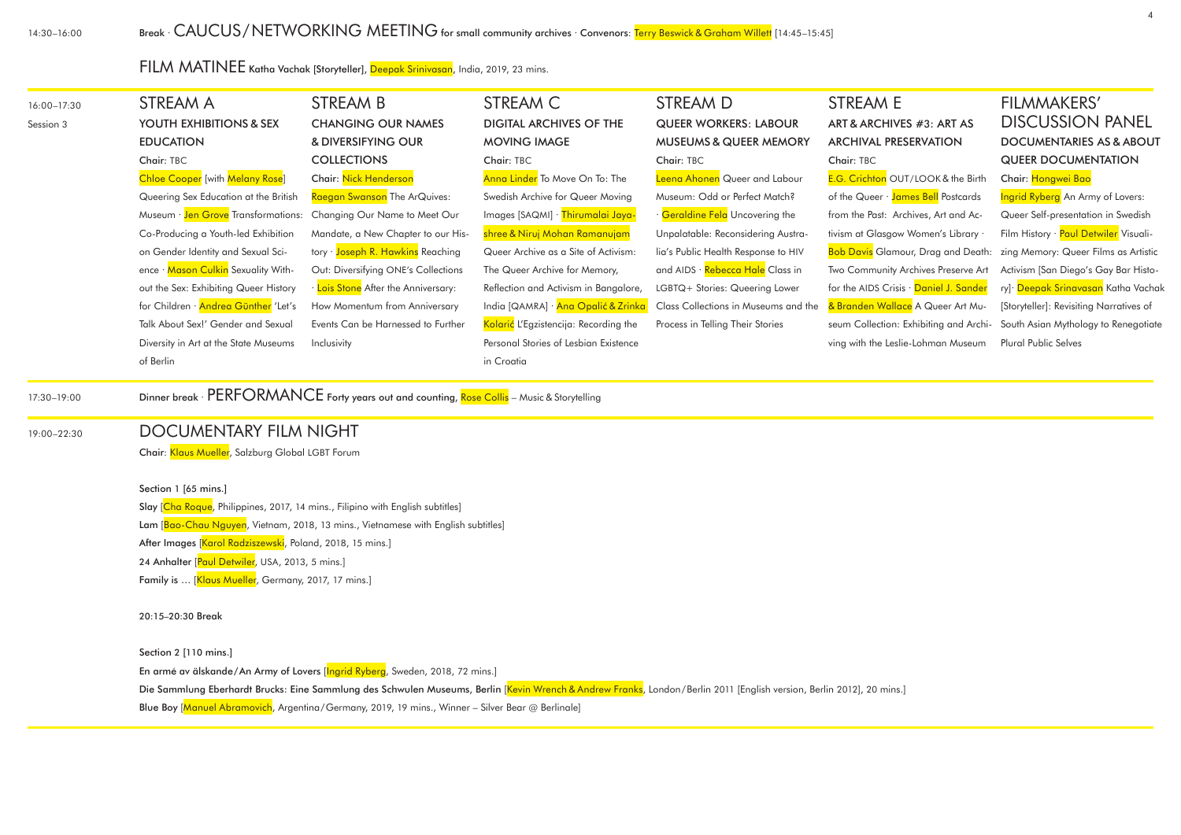14:30–16:00

FILM MATINEE Katha Vachak [Storyteller], Deepak Srinivasan, India, 2019, 23 mins.

| 16:00-17:30<br>Session 3 | STREAM A<br>YOUTH EXHIBITIONS & SEX<br><b>EDUCATION</b><br>Chair: TBC<br><b>Chloe Cooper</b> [with Melany Rose]<br>Queering Sex Education at the British<br>Museum · Jen Grove Transformations:<br>Co-Producing a Youth-led Exhibition<br>on Gender Identity and Sexual Sci-<br>ence · Mason Culkin Sexuality With-<br>out the Sex: Exhibiting Queer History<br>for Children · Andrea Günther 'Let's<br>Talk About Sex!' Gender and Sexual<br>Diversity in Art at the State Museums | STREAM B<br><b>CHANGING OUR NAMES</b><br>& DIVERSIFYING OUR<br><b>COLLECTIONS</b><br>Chair: Nick Henderson<br>Raegan Swanson The ArQuives:<br>Changing Our Name to Meet Our<br>Mandate, a New Chapter to our His-<br>tory · Joseph R. Hawkins Reaching<br>Out: Diversifying ONE's Collections<br>· Lois Stone After the Anniversary:<br>How Momentum from Anniversary<br>Events Can be Harnessed to Further<br>Inclusivity | STREAM C<br><b>DIGITAL ARCHIVES OF THE</b><br><b>MOVING IMAGE</b><br>Chair: TBC<br>Anna Linder To Move On To: The<br>Swedish Archive for Queer Moving<br>Images [SAQMI] · Thirumalai Jaya-<br>shree & Niruj Mohan Ramanujam<br>Queer Archive as a Site of Activism:<br>The Queer Archive for Memory,<br>Reflection and Activism in Bangalore,<br>India [QAMRA] · Ana Opalić & Zrinka<br>Kolarić L'Egzistencija: Recording the<br>Personal Stories of Lesbian Existence | STREAM D<br><b>QUEER WORKERS: LABOUR</b><br><b>MUSEUMS &amp; QUEER MEMORY</b><br>Chair: TBC<br>Leena Ahonen Queer and Labour<br>Museum: Odd or Perfect Match?<br>· Geraldine Fela Uncovering the<br>Unpalatable: Reconsidering Austra-<br>lia's Public Health Response to HIV<br>and AIDS · Rebecca Hale Class in<br>LGBTQ+ Stories: Queering Lower<br>Class Collections in Museums and the<br>Process in Telling Their Stories | STREAM E<br>ART & ARCHIVES #3: ART AS<br><b>ARCHIVAL PRESERVATION</b><br>Chair: TBC<br>E.G. Crichton OUT/LOOK & the Birth<br>of the Queer · James Bell Postcards<br>from the Past: Archives, Art and Ac-<br>tivism at Glasgow Women's Library<br><b>Bob Davis</b> Glamour, Drag and Death:<br>Two Community Archives Preserve Art<br>for the AIDS Crisis · Daniel J. Sander<br>& Branden Wallace A Queer Art Mu-<br>seum Collection: Exhibiting and Archi-<br>ving with the Leslie-Lohman Museum | <b>FILMMAKERS'</b><br><b>DISCUSSION PANEL</b><br><b>DOCUMENTARIES AS &amp; ABOUT</b><br><b>QUEER DOCUMENTATION</b><br>Chair: Hongwei Bao<br>Ingrid Ryberg An Army of Lovers:<br>Queer Self-presentation in Swedish<br>Film History · Paul Detwiler Visuali-<br>zing Memory: Queer Films as Artistic<br>Activism [San Diego's Gay Bar Histo-<br>ry] <sup>.</sup> Deepak Srinavasan Katha Vachak<br>[Storyteller]: Revisiting Narratives of<br>South Asian Mythology to Renegotiate<br>Plural Public Selves |  |
|--------------------------|-------------------------------------------------------------------------------------------------------------------------------------------------------------------------------------------------------------------------------------------------------------------------------------------------------------------------------------------------------------------------------------------------------------------------------------------------------------------------------------|----------------------------------------------------------------------------------------------------------------------------------------------------------------------------------------------------------------------------------------------------------------------------------------------------------------------------------------------------------------------------------------------------------------------------|------------------------------------------------------------------------------------------------------------------------------------------------------------------------------------------------------------------------------------------------------------------------------------------------------------------------------------------------------------------------------------------------------------------------------------------------------------------------|---------------------------------------------------------------------------------------------------------------------------------------------------------------------------------------------------------------------------------------------------------------------------------------------------------------------------------------------------------------------------------------------------------------------------------|--------------------------------------------------------------------------------------------------------------------------------------------------------------------------------------------------------------------------------------------------------------------------------------------------------------------------------------------------------------------------------------------------------------------------------------------------------------------------------------------------|-----------------------------------------------------------------------------------------------------------------------------------------------------------------------------------------------------------------------------------------------------------------------------------------------------------------------------------------------------------------------------------------------------------------------------------------------------------------------------------------------------------|--|
|                          | of Berlin                                                                                                                                                                                                                                                                                                                                                                                                                                                                           |                                                                                                                                                                                                                                                                                                                                                                                                                            | in Croatia                                                                                                                                                                                                                                                                                                                                                                                                                                                             |                                                                                                                                                                                                                                                                                                                                                                                                                                 |                                                                                                                                                                                                                                                                                                                                                                                                                                                                                                  |                                                                                                                                                                                                                                                                                                                                                                                                                                                                                                           |  |
| 17:30-19:00              |                                                                                                                                                                                                                                                                                                                                                                                                                                                                                     | Dinner break · PERFORMANCE Forty years out and counting, Rose Collis - Music & Storytelling                                                                                                                                                                                                                                                                                                                                |                                                                                                                                                                                                                                                                                                                                                                                                                                                                        |                                                                                                                                                                                                                                                                                                                                                                                                                                 |                                                                                                                                                                                                                                                                                                                                                                                                                                                                                                  |                                                                                                                                                                                                                                                                                                                                                                                                                                                                                                           |  |
| 19:00-22:30              | <b>DOCUMENTARY FILM NIGHT</b><br>Chair: Klaus Mueller, Salzburg Global LGBT Forum<br>Section 1 [65 mins.]<br>Slay [Cha Roque, Philippines, 2017, 14 mins., Filipino with English subtitles]<br>Lam [Bao-Chau Nguyen, Vietnam, 2018, 13 mins., Vietnamese with English subtitles]<br>After Images [Karol Radziszewski, Poland, 2018, 15 mins.]<br>24 Anhalter [Paul Detwiler, USA, 2013, 5 mins.]<br>Family is  [Klaus Mueller, Germany, 2017, 17 mins.]                             |                                                                                                                                                                                                                                                                                                                                                                                                                            |                                                                                                                                                                                                                                                                                                                                                                                                                                                                        |                                                                                                                                                                                                                                                                                                                                                                                                                                 |                                                                                                                                                                                                                                                                                                                                                                                                                                                                                                  |                                                                                                                                                                                                                                                                                                                                                                                                                                                                                                           |  |

### Section 2 [110 mins.]

20:15–20:30 Break

En armé av älskande/An Army of Lovers [<mark>Ingrid Ryberg</mark>, Sweden, 2018, 72 mins.] Die Sammlung Eberhardt Brucks: Eine Sammlung des Schwulen Museums, Berlin [<mark>Kevin Wrench & Andrew Franks</mark>, London/Berlin 2011 [English version, Berlin 2012], 20 mins.] Blue Boy [<mark>Manuel Abramovich</mark>, Argentina/Germany, 2019, 19 mins., Winner – Silver Bear @ Berlinale]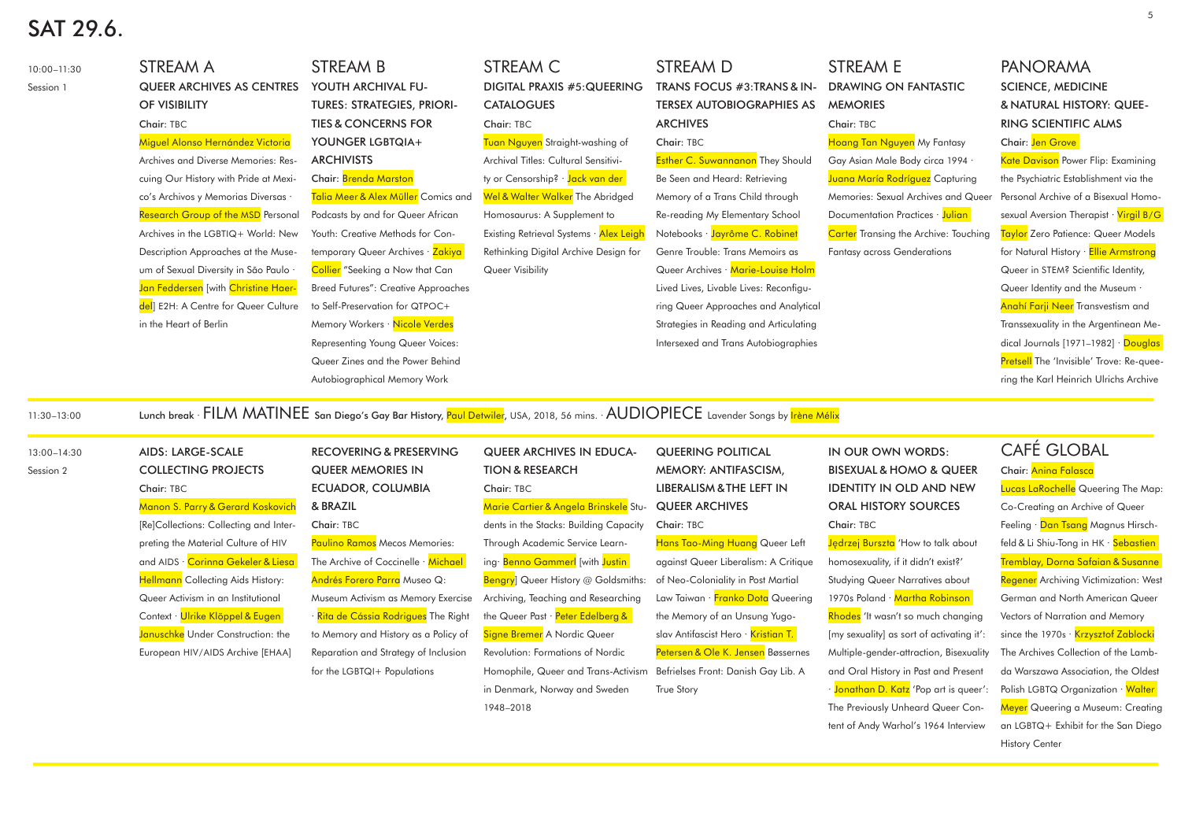# SAT 29.6.

| 10:00-11:30<br>Session 1 | STREAM A<br>QUEER ARCHIVES AS CENTRES<br>OF VISIBILITY<br>Chair: TBC<br>Miguel Alonso Hernández Victoria<br>Archives and Diverse Memories: Res-<br>cuing Our History with Pride at Mexi-<br>co's Archivos y Memorias Diversas .<br><b>Research Group of the MSD Personal</b><br>Archives in the LGBTIQ+ World: New<br>Description Approaches at the Muse-<br>um of Sexual Diversity in São Paulo ·<br>Jan Feddersen [with Christine Haer-<br>del E2H: A Centre for Queer Culture<br>in the Heart of Berlin | <b>STREAM B</b><br>YOUTH ARCHIVAL FU-<br><b>TURES: STRATEGIES, PRIORI-</b><br><b>TIES &amp; CONCERNS FOR</b><br>YOUNGER LGBTQIA+<br><b>ARCHIVISTS</b><br>Chair: Brenda Marston<br>Talia Meer & Alex Müller Comics and<br>Podcasts by and for Queer African<br>Youth: Creative Methods for Con-<br>temporary Queer Archives · Zakiya<br>Collier "Seeking a Now that Can<br><b>Breed Futures": Creative Approaches</b><br>to Self-Preservation for QTPOC+<br>Memory Workers · Nicole Verdes<br>Representing Young Queer Voices:<br>Queer Zines and the Power Behind<br>Autobiographical Memory Work | STREAM C<br>DIGITAL PRAXIS #5:QUEERING<br><b>CATALOGUES</b><br>Chair: TBC<br><mark>Tuan Nguyen</mark> Straight-washing of<br>Archival Titles: Cultural Sensitivi-<br>ty or Censorship? · Jack van der<br>Wel & Walter Walker The Abridged<br>Homosaurus: A Supplement to<br>Existing Retrieval Systems · Alex Leigh<br>Rethinking Digital Archive Design for<br>Queer Visibility                                                                                                                              | STREAM D<br>TRANS FOCUS #3:TRANS & IN-<br><b>TERSEX AUTOBIOGRAPHIES AS</b><br><b>ARCHIVES</b><br>Chair: TBC<br><b>Esther C. Suwannanon They Should</b><br>Be Seen and Heard: Retrieving<br>Memory of a Trans Child through<br>Re-reading My Elementary School<br>Notebooks · Jayrôme C. Robinet<br>Genre Trouble: Trans Memoirs as<br>Queer Archives · Marie-Louise Holm<br>Lived Lives, Livable Lives: Reconfigu-<br>ring Queer Approaches and Analytical<br>Strategies in Reading and Articulating<br>Intersexed and Trans Autobiographies | <b>STREAM E</b><br><b>DRAWING ON FANTASTIC</b><br><b>MEMORIES</b><br>Chair: TBC<br>Hoang Tan Nguyen My Fantasy<br>Gay Asian Male Body circa 1994 ·<br>Juana María Rodríguez Capturing<br>Memories: Sexual Archives and Queer<br>Documentation Practices · Julian<br><b>Carter</b> Transing the Archive: Touching<br><b>Fantasy across Genderations</b>                                                                                                                                                                                            | <b>PANORAMA</b><br><b>SCIENCE, MEDICINE</b><br>& NATURAL HISTORY: QUEE-<br><b>RING SCIENTIFIC ALMS</b><br>Chair: Jen Grove<br>Kate Davison Power Flip: Examining<br>the Psychiatric Establishment via the<br>Personal Archive of a Bisexual Homo-<br>sexual Aversion Therapist · Virgil B/G<br>Taylor Zero Patience: Queer Models<br>for Natural History · Ellie Armstrong<br>Queer in STEM? Scientific Identity,<br>Queer Identity and the Museum .<br>Anahí Farji Neer Transvestism and<br>Transsexuality in the Argentinean Me-<br>dical Journals [1971-1982] · Douglas<br>Pretsell The 'Invisible' Trove: Re-quee-<br>ring the Karl Heinrich Ulrichs Archive |
|--------------------------|------------------------------------------------------------------------------------------------------------------------------------------------------------------------------------------------------------------------------------------------------------------------------------------------------------------------------------------------------------------------------------------------------------------------------------------------------------------------------------------------------------|---------------------------------------------------------------------------------------------------------------------------------------------------------------------------------------------------------------------------------------------------------------------------------------------------------------------------------------------------------------------------------------------------------------------------------------------------------------------------------------------------------------------------------------------------------------------------------------------------|---------------------------------------------------------------------------------------------------------------------------------------------------------------------------------------------------------------------------------------------------------------------------------------------------------------------------------------------------------------------------------------------------------------------------------------------------------------------------------------------------------------|----------------------------------------------------------------------------------------------------------------------------------------------------------------------------------------------------------------------------------------------------------------------------------------------------------------------------------------------------------------------------------------------------------------------------------------------------------------------------------------------------------------------------------------------|---------------------------------------------------------------------------------------------------------------------------------------------------------------------------------------------------------------------------------------------------------------------------------------------------------------------------------------------------------------------------------------------------------------------------------------------------------------------------------------------------------------------------------------------------|------------------------------------------------------------------------------------------------------------------------------------------------------------------------------------------------------------------------------------------------------------------------------------------------------------------------------------------------------------------------------------------------------------------------------------------------------------------------------------------------------------------------------------------------------------------------------------------------------------------------------------------------------------------|
| 11:30-13:00              |                                                                                                                                                                                                                                                                                                                                                                                                                                                                                                            | Lunch break · FILM MATINEE San Diego's Gay Bar History, Paul Detwiler, USA, 2018, 56 mins. · AUDIOPIECE Lavender Songs by <i>Irène Mélix</i>                                                                                                                                                                                                                                                                                                                                                                                                                                                      |                                                                                                                                                                                                                                                                                                                                                                                                                                                                                                               |                                                                                                                                                                                                                                                                                                                                                                                                                                                                                                                                              |                                                                                                                                                                                                                                                                                                                                                                                                                                                                                                                                                   |                                                                                                                                                                                                                                                                                                                                                                                                                                                                                                                                                                                                                                                                  |
| 13:00-14:30<br>Session 2 | AIDS: LARGE-SCALE<br><b>COLLECTING PROJECTS</b><br>Chair: TBC<br>Manon S. Parry & Gerard Koskovich<br>[Re]Collections: Collecting and Inter-<br>preting the Material Culture of HIV<br>and AIDS · Corinna Gekeler & Liesa<br>Hellmann Collecting Aids History:<br>Queer Activism in an Institutional<br>Context · Ulrike Klöppel & Eugen<br>Januschke Under Construction: the<br>European HIV/AIDS Archive [EHAA]                                                                                          | <b>RECOVERING &amp; PRESERVING</b><br><b>QUEER MEMORIES IN</b><br><b>ECUADOR, COLUMBIA</b><br>& BRAZIL<br>Chair: TBC<br>Paulino Ramos Mecos Memories:<br>The Archive of Coccinelle · Michael<br>Andrés Forero Parra Museo Q:<br>Museum Activism as Memory Exercise<br>· <mark>Rita de Cássia Rodrigues</mark> The Right<br>to Memory and History as a Policy of<br>Reparation and Strategy of Inclusion<br>for the LGBTQI+ Populations                                                                                                                                                            | <b>QUEER ARCHIVES IN EDUCA-</b><br><b>TION &amp; RESEARCH</b><br>Chair: TBC<br>Marie Cartier & Angela Brinskele Stu-<br>dents in the Stacks: Building Capacity<br>Through Academic Service Learn-<br>ing Benno Gammerl [with Justin<br>Bengry Queer History @ Goldsmiths:<br>Archiving, Teaching and Researching<br>the Queer Past · Peter Edelberg &<br>Signe Bremer A Nordic Queer<br>Revolution: Formations of Nordic<br>Homophile, Queer and Trans-Activism<br>in Denmark, Norway and Sweden<br>1948-2018 | QUEERING POLITICAL<br>MEMORY: ANTIFASCISM,<br><b>LIBERALISM &amp; THE LEFT IN</b><br><b>QUEER ARCHIVES</b><br>Chair: TBC<br>Hans Tao-Ming Huang Queer Left<br>against Queer Liberalism: A Critique<br>of Neo-Coloniality in Post Martial<br>Law Taiwan · Franko Dota Queering<br>the Memory of an Unsung Yugo-<br>slav Antifascist Hero · Kristian T.<br>Petersen & Ole K. Jensen Bøssernes<br>Befrielses Front: Danish Gay Lib. A<br><b>True Story</b>                                                                                      | IN OUR OWN WORDS:<br><b>BISEXUAL &amp; HOMO &amp; QUEER</b><br><b>IDENTITY IN OLD AND NEW</b><br><b>ORAL HISTORY SOURCES</b><br>Chair: TBC<br>Jędrzej Burszta 'How to talk about<br>homosexuality, if it didn't exist?'<br>Studying Queer Narratives about<br>1970s Poland · Martha Robinson<br>Rhodes 'It wasn't so much changing<br>[my sexuality] as sort of activating it':<br>Multiple-gender-attraction, Bisexuality<br>and Oral History in Past and Present<br>· Jonathan D. Katz 'Pop art is queer':<br>The Previously Unheard Queer Con- | <b>CAFÉ GLOBAL</b><br>Chair: Anina Falasca<br>Lucas LaRochelle Queering The Map:<br>Co-Creating an Archive of Queer<br>Feeling · Dan Tsang Magnus Hirsch-<br>feld & Li Shiu-Tong in HK · Sebastien<br><b>Tremblay, Dorna Safaian &amp; Susanne</b><br>Regener Archiving Victimization: West<br>German and North American Queer<br>Vectors of Narration and Memory<br>since the 1970s · Krzysztof Zablocki<br>The Archives Collection of the Lamb-<br>da Warszawa Association, the Oldest<br>Polish LGBTQ Organization · Walter<br>Meyer Queering a Museum: Creating                                                                                              |

5

tent of Andy Warhol's 1964 Interview an LGBTQ+ Exhibit for the San Diego

History Center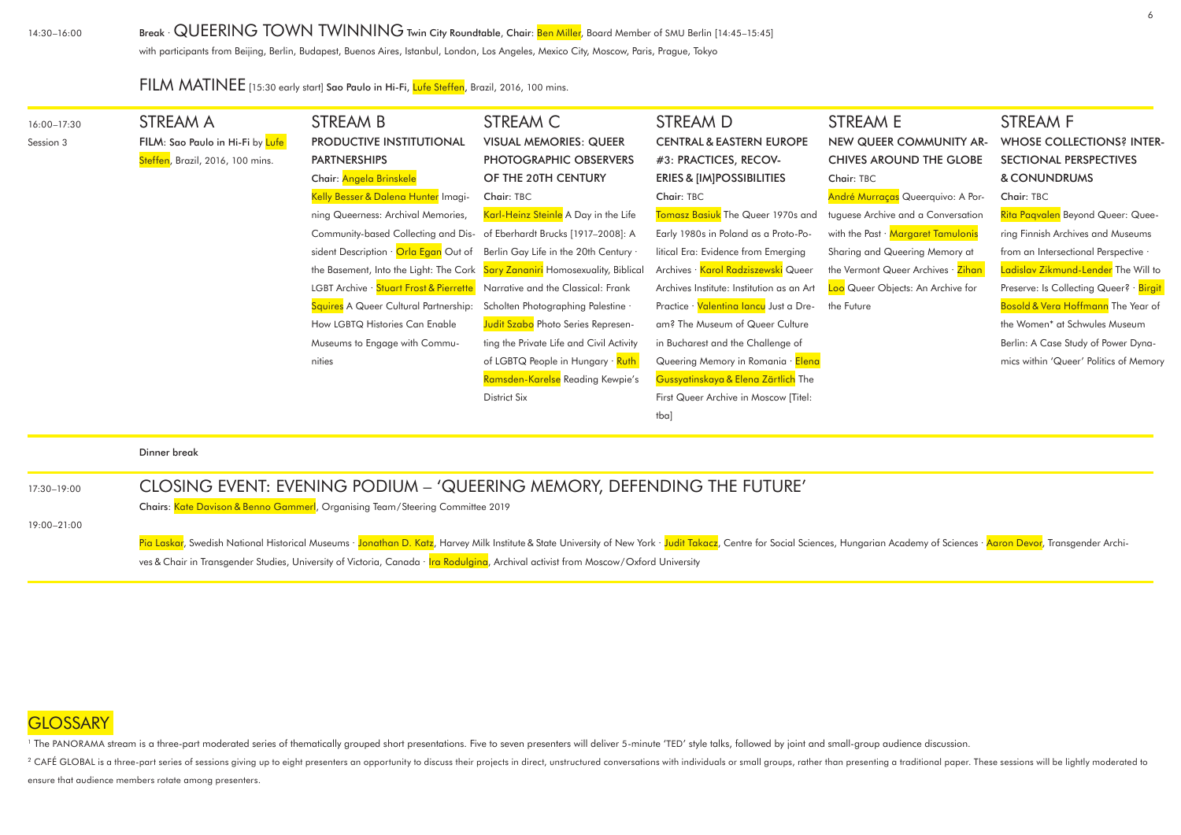14:30–16:00

## Break · QUEERING TOWN TWINNING Twin City Roundtable, Chair: Ben Miller, Board Member of SMU Berlin [14:45-15:45]

with participants from Beijing, Berlin, Budapest, Buenos Aires, Istanbul, London, Los Angeles, Mexico City, Moscow, Paris, Prague, Tokyo

FILM MATINEE [15:30 early start] Sao Paulo in Hi-Fi, Lufe Steffen, Brazil, 2016, 100 mins.

| 16:00-17:30 | STREAM A                         | STREAM B                                                                    | STREAM C                                                                     | STREAM D                                  | <b>STREAM E</b>                    | STREAM F                                |
|-------------|----------------------------------|-----------------------------------------------------------------------------|------------------------------------------------------------------------------|-------------------------------------------|------------------------------------|-----------------------------------------|
| Session 3   | FILM: Sao Paulo in Hi-Fi by Lufe | PRODUCTIVE INSTITUTIONAL                                                    | <b>VISUAL MEMORIES: QUEER</b>                                                | <b>CENTRAL &amp; EASTERN EUROPE</b>       | NEW QUEER COMMUNITY AR-            | <b>WHOSE COLLECTIONS? INTER-</b>        |
|             | Steffen, Brazil, 2016, 100 mins. | <b>PARTNERSHIPS</b>                                                         | PHOTOGRAPHIC OBSERVERS                                                       | #3: PRACTICES, RECOV-                     | <b>CHIVES AROUND THE GLOBE</b>     | SECTIONAL PERSPECTIVES                  |
|             |                                  | Chair: Angela Brinskele                                                     | OF THE 20TH CENTURY                                                          | <b>ERIES &amp; [IM]POSSIBILITIES</b>      | Chair: TBC                         | & CONUNDRUMS                            |
|             |                                  | Kelly Besser & Dalena Hunter Imagi-                                         | Chair: TBC                                                                   | Chair: TBC                                | André Murraças Queerquivo: A Por-  | Chair: TBC                              |
|             |                                  | ning Queerness: Archival Memories,                                          | Karl-Heinz Steinle A Day in the Life                                         | Tomasz Basiuk The Queer 1970s and         | tuguese Archive and a Conversation | Rita Pagvalen Beyond Queer: Quee-       |
|             |                                  | Community-based Collecting and Dis- of Eberhardt Brucks [1917-2008]: A      |                                                                              | Early 1980s in Poland as a Proto-Po-      | with the Past · Margaret Tamulonis | ring Finnish Archives and Museums       |
|             |                                  | sident Description · Orla Egan Out of Berlin Gay Life in the 20th Century · |                                                                              | litical Era: Evidence from Emerging       | Sharing and Queering Memory at     | from an Intersectional Perspective ·    |
|             |                                  |                                                                             | the Basement, Into the Light: The Cork Sary Zananiri Homosexuality, Biblical | Archives · Karol Radziszewski Queer       | the Vermont Queer Archives · Zihan | Ladislav Zikmund-Lender The Will to     |
|             |                                  | LGBT Archive · Stuart Frost & Pierrette                                     | Narrative and the Classical: Frank                                           | Archives Institute: Institution as an Art | Loo Queer Objects: An Archive for  | Preserve: Is Collecting Queer? · Birgit |
|             |                                  | Squires A Queer Cultural Partnership:                                       | Scholten Photographing Palestine .                                           | Practice · Valentina lancu Just a Dre-    | the Future                         | Bosold & Vera Hoffmann The Year of      |
|             |                                  | How LGBTQ Histories Can Enable                                              | <b>Judit Szabo</b> Photo Series Represen-                                    | am? The Museum of Queer Culture           |                                    | the Women* at Schwules Museum           |
|             |                                  | Museums to Engage with Commu-                                               | ting the Private Life and Civil Activity                                     | in Bucharest and the Challenge of         |                                    | Berlin: A Case Study of Power Dyna-     |
|             |                                  | nities                                                                      | of LGBTQ People in Hungary · Ruth                                            | Queering Memory in Romania · Elena        |                                    | mics within 'Queer' Politics of Memory  |
|             |                                  |                                                                             | Ramsden-Karelse Reading Kewpie's                                             | Gussyatinskaya & Elena Zärtlich The       |                                    |                                         |
|             |                                  |                                                                             | <b>District Six</b>                                                          | First Queer Archive in Moscow [Titel:     |                                    |                                         |
|             |                                  |                                                                             |                                                                              | tba]                                      |                                    |                                         |
|             | Dinner break                     |                                                                             |                                                                              |                                           |                                    |                                         |
|             |                                  |                                                                             |                                                                              |                                           |                                    |                                         |
| 17:30-19:00 |                                  | CLOSING EVENT: EVENING PODIUM - 'QUEERING MEMORY, DEFENDING THE FUTURE'     |                                                                              |                                           |                                    |                                         |

Chairs: Kate Davison & Benno Gammerl, Organising Team/Steering Committee 2019

19:00–21:00

### CLOSING EVENT: EVENING PODIUM – 'QUEERING MEMORY, DEFENDING THE FUTURE'

Pia Laskar, Swedish National Historical Museums · <mark>Jonathan D. Katz</mark>, Harvey Milk Institute & State University of New York · Judit Takacz, Centre for Social Sciences, Hungarian Academy of Sciences · <mark>Aaron Devor</mark>, Transgen

ves & Chair in Transgender Studies, University of Victoria, Canada · Ira Rodulgina, Archival activist from Moscow/Oxford University

### **GLOSSARY**

<sup>1</sup> The PANORAMA stream is a three-part moderated series of thematically grouped short presentations. Five to seven presenters will deliver 5-minute 'TED' style talks, followed by joint and small-group audience discussion.

<sup>2</sup> CAFÉ GLOBAL is a three-part series of sessions giving up to eight presenters an opportunity to discuss their projects in direct, unstructured conversations with individuals or small groups, rather than presenting a tra